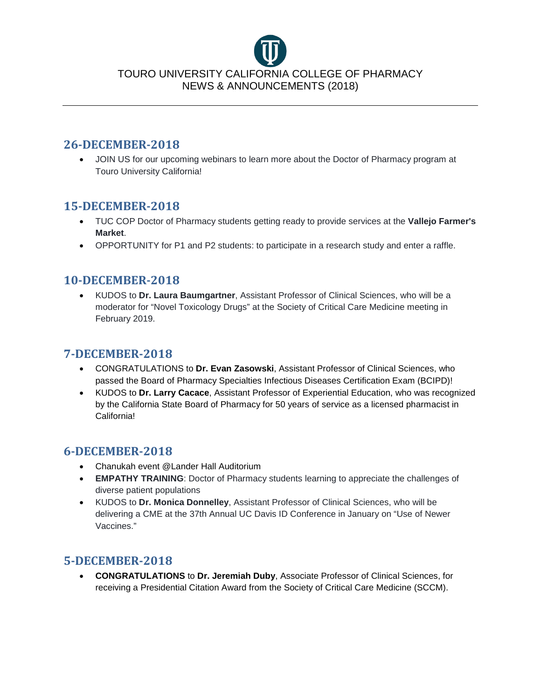

#### **26-DECEMBER-2018**

• JOIN US for our upcoming webinars to learn more about the Doctor of Pharmacy program at Touro University California!

### **15-DECEMBER-2018**

- TUC COP Doctor of Pharmacy students getting ready to provide services at the **Vallejo Farmer's Market**.
- OPPORTUNITY for P1 and P2 students: to participate in a research study and enter a raffle.

# **10-DECEMBER-2018**

• KUDOS to **Dr. Laura Baumgartner**, Assistant Professor of Clinical Sciences, who will be a moderator for "Novel Toxicology Drugs" at the Society of Critical Care Medicine meeting in February 2019.

# **7-DECEMBER-2018**

- CONGRATULATIONS to **Dr. Evan Zasowski**, Assistant Professor of Clinical Sciences, who passed the Board of Pharmacy Specialties Infectious Diseases Certification Exam (BCIPD)!
- KUDOS to **Dr. Larry Cacace**, Assistant Professor of Experiential Education, who was recognized by the California State Board of Pharmacy for 50 years of service as a licensed pharmacist in California!

# **6-DECEMBER-2018**

- Chanukah event @Lander Hall Auditorium
- **EMPATHY TRAINING**: Doctor of Pharmacy students learning to appreciate the challenges of diverse patient populations
- KUDOS to **Dr. Monica Donnelley**, Assistant Professor of Clinical Sciences, who will be delivering a CME at the 37th Annual UC Davis ID Conference in January on "Use of Newer Vaccines."

# **5-DECEMBER-2018**

• **CONGRATULATIONS** to **Dr. Jeremiah Duby**, Associate Professor of Clinical Sciences, for receiving a Presidential Citation Award from the Society of Critical Care Medicine (SCCM).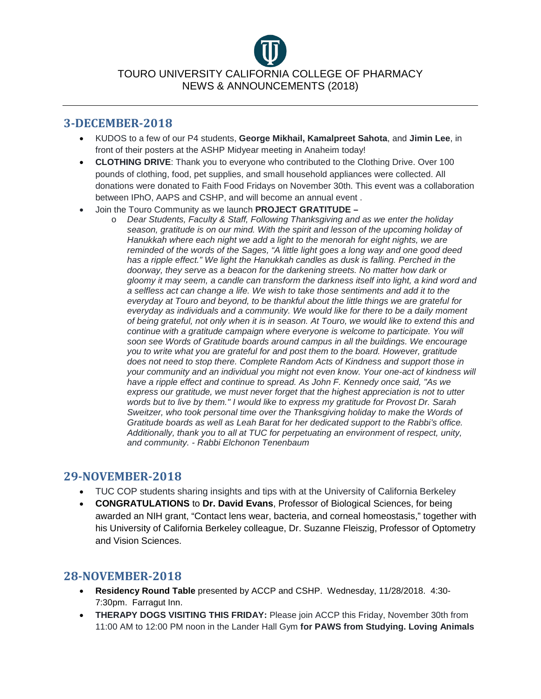#### **3-DECEMBER-2018**

- KUDOS to a few of our P4 students, **George Mikhail, Kamalpreet Sahota**, and **Jimin Lee**, in front of their posters at the ASHP Midyear meeting in Anaheim today!
- **CLOTHING DRIVE**: Thank you to everyone who contributed to the Clothing Drive. Over 100 pounds of clothing, food, pet supplies, and small household appliances were collected. All donations were donated to Faith Food Fridays on November 30th. This event was a collaboration between IPhO, AAPS and CSHP, and will become an annual event .
- Join the Touro Community as we launch **PROJECT GRATITUDE –**
	- o *Dear Students, Faculty & Staff, Following Thanksgiving and as we enter the holiday season, gratitude is on our mind. With the spirit and lesson of the upcoming holiday of Hanukkah where each night we add a light to the menorah for eight nights, we are reminded of the words of the Sages, "A little light goes a long way and one good deed*  has a ripple effect." We light the Hanukkah candles as dusk is falling. Perched in the *doorway, they serve as a beacon for the darkening streets. No matter how dark or gloomy it may seem, a candle can transform the darkness itself into light, a kind word and a selfless act can change a life. We wish to take those sentiments and add it to the everyday at Touro and beyond, to be thankful about the little things we are grateful for everyday as individuals and a community. We would like for there to be a daily moment of being grateful, not only when it is in season. At Touro, we would like to extend this and continue with a gratitude campaign where everyone is welcome to participate. You will soon see Words of Gratitude boards around campus in all the buildings. We encourage you to write what you are grateful for and post them to the board. However, gratitude does not need to stop there. Complete Random Acts of Kindness and support those in your community and an individual you might not even know. Your one-act of kindness will have a ripple effect and continue to spread. As John F. Kennedy once said, "As we express our gratitude, we must never forget that the highest appreciation is not to utter words but to live by them." I would like to express my gratitude for Provost Dr. Sarah Sweitzer, who took personal time over the Thanksgiving holiday to make the Words of Gratitude boards as well as Leah Barat for her dedicated support to the Rabbi's office. Additionally, thank you to all at TUC for perpetuating an environment of respect, unity, and community. - Rabbi Elchonon Tenenbaum*

# **29-NOVEMBER-2018**

- TUC COP students sharing insights and tips with at the University of California Berkeley
- **CONGRATULATIONS** to **Dr. David Evans**, Professor of Biological Sciences, for being awarded an NIH grant, "Contact lens wear, bacteria, and corneal homeostasis," together with his University of California Berkeley colleague, Dr. Suzanne Fleiszig, Professor of Optometry and Vision Sciences.

# **28-NOVEMBER-2018**

- **Residency Round Table** presented by ACCP and CSHP. Wednesday, 11/28/2018. 4:30- 7:30pm. Farragut Inn.
- **THERAPY DOGS VISITING THIS FRIDAY:** Please join ACCP this Friday, November 30th from 11:00 AM to 12:00 PM noon in the Lander Hall Gym **for PAWS from Studying. Loving Animals**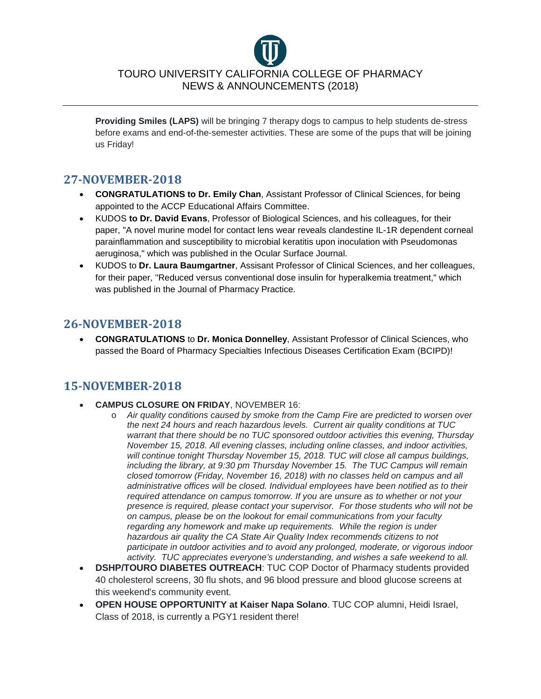**Providing Smiles (LAPS)** will be bringing 7 therapy dogs to campus to help students de-stress before exams and end-of-the-semester activities. These are some of the pups that will be joining us Friday!

# **27-NOVEMBER-2018**

- **CONGRATULATIONS to Dr. Emily Chan**, Assistant Professor of Clinical Sciences, for being appointed to the ACCP Educational Affairs Committee.
- KUDOS **to Dr. David Evans**, Professor of Biological Sciences, and his colleagues, for their paper, "A novel murine model for contact lens wear reveals clandestine IL-1R dependent corneal parainflammation and susceptibility to microbial keratitis upon inoculation with Pseudomonas aeruginosa," which was published in the Ocular Surface Journal.
- KUDOS to **Dr. Laura Baumgartner**, Assisant Professor of Clinical Sciences, and her colleagues, for their paper, "Reduced versus conventional dose insulin for hyperalkemia treatment," which was published in the Journal of Pharmacy Practice.

# **26-NOVEMBER-2018**

• **CONGRATULATIONS** to **Dr. Monica Donnelley**, Assistant Professor of Clinical Sciences, who passed the Board of Pharmacy Specialties Infectious Diseases Certification Exam (BCIPD)!

# **15-NOVEMBER-2018**

- **CAMPUS CLOSURE ON FRIDAY**, NOVEMBER 16:
	- o *Air quality conditions caused by smoke from the Camp Fire are predicted to worsen over the next 24 hours and reach hazardous levels. Current air quality conditions at TUC warrant that there should be no TUC sponsored outdoor activities this evening, Thursday November 15, 2018. All evening classes, including online classes, and indoor activities, will continue tonight Thursday November 15, 2018. TUC will close all campus buildings, including the library, at 9:30 pm Thursday November 15. The TUC Campus will remain closed tomorrow (Friday, November 16, 2018) with no classes held on campus and all administrative offices will be closed. Individual employees have been notified as to their required attendance on campus tomorrow. If you are unsure as to whether or not your presence is required, please contact your supervisor. For those students who will not be on campus, please be on the lookout for email communications from your faculty regarding any homework and make up requirements. While the region is under hazardous air quality the CA State Air Quality Index recommends citizens to not participate in outdoor activities and to avoid any prolonged, moderate, or vigorous indoor activity. TUC appreciates everyone's understanding, and wishes a safe weekend to all.*
- **DSHP/TOURO DIABETES OUTREACH**: TUC COP Doctor of Pharmacy students provided 40 cholesterol screens, 30 flu shots, and 96 blood pressure and blood glucose screens at this weekend's community event.
- **OPEN HOUSE OPPORTUNITY at Kaiser Napa Solano**. TUC COP alumni, Heidi Israel, Class of 2018, is currently a PGY1 resident there!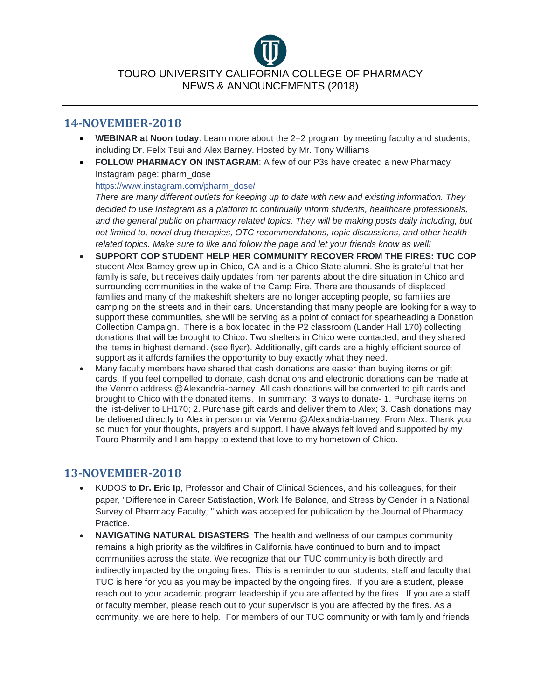#### **14-NOVEMBER-2018**

- **WEBINAR at Noon today**: Learn more about the 2+2 program by meeting faculty and students, including Dr. Felix Tsui and Alex Barney. Hosted by Mr. Tony Williams
- **FOLLOW PHARMACY ON INSTAGRAM**: A few of our P3s have created a new Pharmacy Instagram page: pharm\_dose

[https://www.instagram.com/pharm\\_dose/](https://www.instagram.com/pharm_dose/?fbclid=IwAR0BWdU2PbkqWQYx86LsRsFFbdF8M-AsVOwI7w9hjOvspYqQsD0LrnuAits)

*There are many different outlets for keeping up to date with new and existing information. They decided to use Instagram as a platform to continually inform students, healthcare professionals, and the general public on pharmacy related topics. They will be making posts daily including, but not limited to, novel drug therapies, OTC recommendations, topic discussions, and other health related topics. Make sure to like and follow the page and let your friends know as well!*

- **SUPPORT COP STUDENT HELP HER COMMUNITY RECOVER FROM THE FIRES: TUC COP** student Alex Barney grew up in Chico, CA and is a Chico State alumni. She is grateful that her family is safe, but receives daily updates from her parents about the dire situation in Chico and surrounding communities in the wake of the Camp Fire. There are thousands of displaced families and many of the makeshift shelters are no longer accepting people, so families are camping on the streets and in their cars. Understanding that many people are looking for a way to support these communities, she will be serving as a point of contact for spearheading a Donation Collection Campaign. There is a box located in the P2 classroom (Lander Hall 170) collecting donations that will be brought to Chico. Two shelters in Chico were contacted, and they shared the items in highest demand. (see flyer). Additionally, gift cards are a highly efficient source of support as it affords families the opportunity to buy exactly what they need.
- Many faculty members have shared that cash donations are easier than buying items or gift cards. If you feel compelled to donate, cash donations and electronic donations can be made at the Venmo address @Alexandria-barney. All cash donations will be converted to gift cards and brought to Chico with the donated items. In summary: 3 ways to donate- 1. Purchase items on the list-deliver to LH170; 2. Purchase gift cards and deliver them to Alex; 3. Cash donations may be delivered directly to Alex in person or via Venmo @Alexandria-barney; From Alex: Thank you so much for your thoughts, prayers and support. I have always felt loved and supported by my Touro Pharmily and I am happy to extend that love to my hometown of Chico.

# **13-NOVEMBER-2018**

- KUDOS to **Dr. Eric Ip**, Professor and Chair of Clinical Sciences, and his colleagues, for their paper, "Difference in Career Satisfaction, Work life Balance, and Stress by Gender in a National Survey of Pharmacy Faculty, " which was accepted for publication by the Journal of Pharmacy Practice.
- **NAVIGATING NATURAL DISASTERS**: The health and wellness of our campus community remains a high priority as the wildfires in California have continued to burn and to impact communities across the state. We recognize that our TUC community is both directly and indirectly impacted by the ongoing fires. This is a reminder to our students, staff and faculty that TUC is here for you as you may be impacted by the ongoing fires. If you are a student, please reach out to your academic program leadership if you are affected by the fires. If you are a staff or faculty member, please reach out to your supervisor is you are affected by the fires. As a community, we are here to help. For members of our TUC community or with family and friends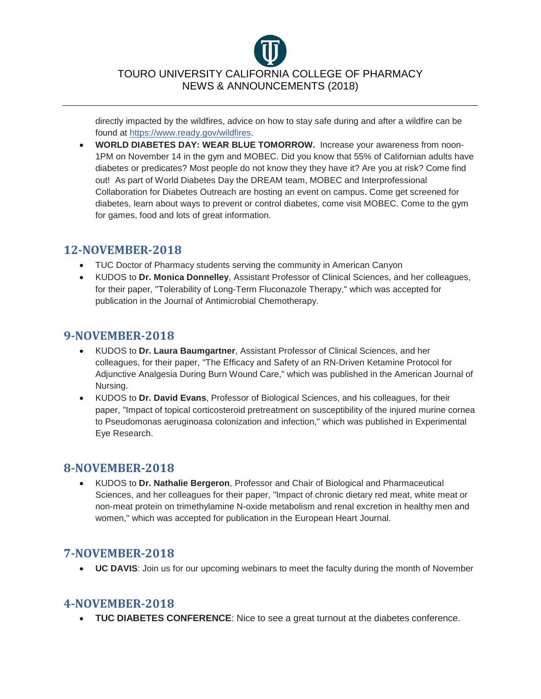directly impacted by the wildfires, advice on how to stay safe during and after a wildfire can be found at [https://www.ready.gov/wildfires.](https://l.facebook.com/l.php?u=https%3A%2F%2Fwww.ready.gov%2Fwildfires%3Ffbclid%3DIwAR04F552ohLUkceqj7NsJORWAHoof7tf63hrYvUfTQmjoNX3fAZPNxs8Jas&h=AT3ZVVHvV6Cjt5zd9CIRIF0RnvtcL--z-r4DSk8vNjV7pFPRtwwVeLrlH77-jzbIdxmeWbwDnYgQcKiFwBGaGAJLFdNbh4-A1PkWLygBo4pl7cD2U6TIhKzYF0gxxslgicaNwllRGhtzg9SZgt88SnlNvm23bEaSLhn5EKjrmYc)

• **WORLD DIABETES DAY: WEAR BLUE TOMORROW.** Increase your awareness from noon-1PM on November 14 in the gym and MOBEC. Did you know that 55% of Californian adults have diabetes or predicates? Most people do not know they they have it? Are you at risk? Come find out! As part of World Diabetes Day the DREAM team, MOBEC and Interprofessional Collaboration for Diabetes Outreach are hosting an event on campus. Come get screened for diabetes, learn about ways to prevent or control diabetes, come visit MOBEC. Come to the gym for games, food and lots of great information.

#### **12-NOVEMBER-2018**

- TUC Doctor of Pharmacy students serving the community in American Canyon
- KUDOS to **Dr. Monica Donnelley**, Assistant Professor of Clinical Sciences, and her colleagues, for their paper, "Tolerability of Long-Term Fluconazole Therapy," which was accepted for publication in the Journal of Antimicrobial Chemotherapy.

### **9-NOVEMBER-2018**

- KUDOS to **Dr. Laura Baumgartner**, Assistant Professor of Clinical Sciences, and her colleagues, for their paper, "The Efficacy and Safety of an RN-Driven Ketamine Protocol for Adjunctive Analgesia During Burn Wound Care," which was published in the American Journal of Nursing.
- KUDOS to **Dr. David Evans**, Professor of Biological Sciences, and his colleagues, for their paper, "Impact of topical corticosteroid pretreatment on susceptibility of the injured murine cornea to Pseudomonas aeruginoasa colonization and infection," which was published in Experimental Eye Research.

#### **8-NOVEMBER-2018**

• KUDOS to **Dr. Nathalie Bergeron**, Professor and Chair of Biological and Pharmaceutical Sciences, and her colleagues for their paper, "Impact of chronic dietary red meat, white meat or non-meat protein on trimethylamine N-oxide metabolism and renal excretion in healthy men and women," which was accepted for publication in the European Heart Journal.

# **7-NOVEMBER-2018**

• **UC DAVIS**: Join us for our upcoming webinars to meet the faculty during the month of November

# **4-NOVEMBER-2018**

• **TUC DIABETES CONFERENCE**: Nice to see a great turnout at the diabetes conference.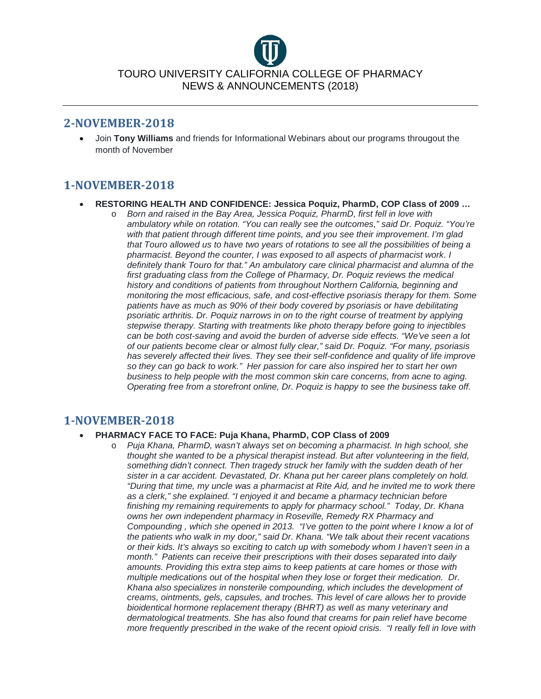#### **2-NOVEMBER-2018**

• Join **Tony Williams** and friends for Informational Webinars about our programs througout the month of November

# **1-NOVEMBER-2018**

- **RESTORING HEALTH AND CONFIDENCE: Jessica Poquiz, PharmD, COP Class of 2009 …** 
	- o *Born and raised in the Bay Area, Jessica Poquiz, PharmD, first fell in love with ambulatory while on rotation. "You can really see the outcomes," said Dr. Poquiz. "You're with that patient through different time points, and you see their improvement. I'm glad that Touro allowed us to have two years of rotations to see all the possibilities of being a pharmacist. Beyond the counter, I was exposed to all aspects of pharmacist work. I definitely thank Touro for that." An ambulatory care clinical pharmacist and alumna of the first graduating class from the College of Pharmacy, Dr. Poquiz reviews the medical history and conditions of patients from throughout Northern California, beginning and monitoring the most efficacious, safe, and cost-effective psoriasis therapy for them. Some patients have as much as 90% of their body covered by psoriasis or have debilitating psoriatic arthritis. Dr. Poquiz narrows in on to the right course of treatment by applying stepwise therapy. Starting with treatments like photo therapy before going to injectibles can be both cost-saving and avoid the burden of adverse side effects. "We've seen a lot of our patients become clear or almost fully clear," said Dr. Poquiz. "For many, psoriasis has severely affected their lives. They see their self-confidence and quality of life improve so they can go back to work." Her passion for care also inspired her to start her own business to help people with the most common skin care concerns, from acne to aging. Operating free from a storefront online, Dr. Poquiz is happy to see the business take off.*

#### **1-NOVEMBER-2018**

#### • **PHARMACY FACE TO FACE: Puja Khana, PharmD, COP Class of 2009**

o *Puja Khana, PharmD, wasn't always set on becoming a pharmacist. In high school, she thought she wanted to be a physical therapist instead. But after volunteering in the field, something didn't connect. Then tragedy struck her family with the sudden death of her sister in a car accident. Devastated, Dr. Khana put her career plans completely on hold. "During that time, my uncle was a pharmacist at Rite Aid, and he invited me to work there as a clerk," she explained. "I enjoyed it and became a pharmacy technician before finishing my remaining requirements to apply for pharmacy school." Today, Dr. Khana owns her own independent pharmacy in Roseville, Remedy RX Pharmacy and Compounding , which she opened in 2013. "I've gotten to the point where I know a lot of the patients who walk in my door," said Dr. Khana. "We talk about their recent vacations or their kids. It's always so exciting to catch up with somebody whom I haven't seen in a month." Patients can receive their prescriptions with their doses separated into daily amounts. Providing this extra step aims to keep patients at care homes or those with multiple medications out of the hospital when they lose or forget their medication. Dr. Khana also specializes in nonsterile compounding, which includes the development of creams, ointments, gels, capsules, and troches. This level of care allows her to provide bioidentical hormone replacement therapy (BHRT) as well as many veterinary and dermatological treatments. She has also found that creams for pain relief have become more frequently prescribed in the wake of the recent opioid crisis. "I really fell in love with*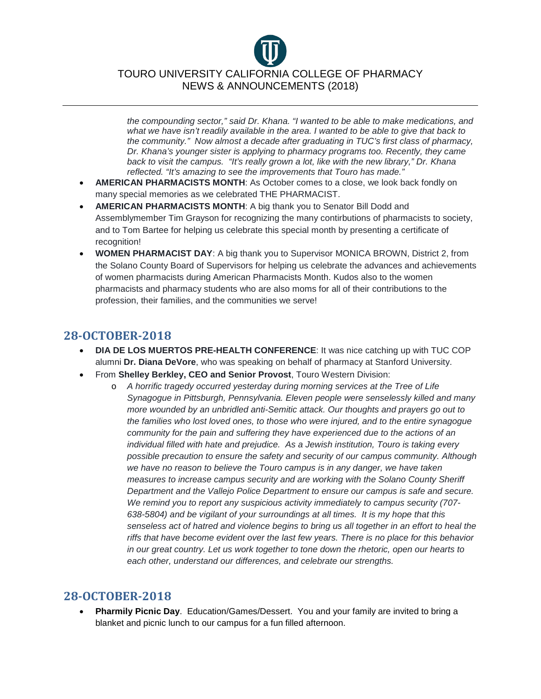*the compounding sector," said Dr. Khana. "I wanted to be able to make medications, and what we have isn't readily available in the area. I wanted to be able to give that back to the community." Now almost a decade after graduating in TUC's first class of pharmacy, Dr. Khana's younger sister is applying to pharmacy programs too. Recently, they came back to visit the campus. "It's really grown a lot, like with the new library," Dr. Khana reflected. "It's amazing to see the improvements that Touro has made."*

- **AMERICAN PHARMACISTS MONTH**: As October comes to a close, we look back fondly on many special memories as we celebrated THE PHARMACIST.
- **AMERICAN PHARMACISTS MONTH**: A big thank you to Senator Bill Dodd and Assemblymember Tim Grayson for recognizing the many contirbutions of pharmacists to society, and to Tom Bartee for helping us celebrate this special month by presenting a certificate of recognition!
- **WOMEN PHARMACIST DAY**: A big thank you to Supervisor MONICA BROWN, District 2, from the Solano County Board of Supervisors for helping us celebrate the advances and achievements of women pharmacists during American Pharmacists Month. Kudos also to the women pharmacists and pharmacy students who are also moms for all of their contributions to the profession, their families, and the communities we serve!

# **28-OCTOBER-2018**

- **DIA DE LOS MUERTOS PRE-HEALTH CONFERENCE**: It was nice catching up with TUC COP alumni **Dr. Diana DeVore**, who was speaking on behalf of pharmacy at Stanford University.
- From **Shelley Berkley, CEO and Senior Provost**, Touro Western Division:
	- o *A horrific tragedy occurred yesterday during morning services at the Tree of Life Synagogue in Pittsburgh, Pennsylvania. Eleven people were senselessly killed and many more wounded by an unbridled anti-Semitic attack. Our thoughts and prayers go out to the families who lost loved ones, to those who were injured, and to the entire synagogue community for the pain and suffering they have experienced due to the actions of an individual filled with hate and prejudice. As a Jewish institution, Touro is taking every possible precaution to ensure the safety and security of our campus community. Although we have no reason to believe the Touro campus is in any danger, we have taken measures to increase campus security and are working with the Solano County Sheriff Department and the Vallejo Police Department to ensure our campus is safe and secure. We remind you to report any suspicious activity immediately to campus security (707- 638-5804) and be vigilant of your surroundings at all times. It is my hope that this senseless act of hatred and violence begins to bring us all together in an effort to heal the riffs that have become evident over the last few years. There is no place for this behavior in our great country. Let us work together to tone down the rhetoric, open our hearts to each other, understand our differences, and celebrate our strengths.*

#### **28-OCTOBER-2018**

• **Pharmily Picnic Day**. Education/Games/Dessert. You and your family are invited to bring a blanket and picnic lunch to our campus for a fun filled afternoon.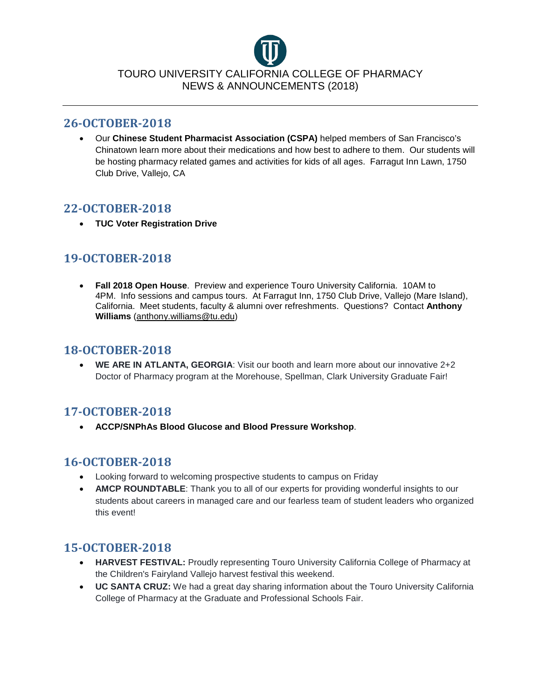#### **26-OCTOBER-2018**

• Our **Chinese Student Pharmacist Association (CSPA)** helped members of San Francisco's Chinatown learn more about their medications and how best to adhere to them. Our students will be hosting pharmacy related games and activities for kids of all ages. Farragut Inn Lawn, 1750 Club Drive, Vallejo, CA

### **22-OCTOBER-2018**

• **TUC Voter Registration Drive**

# **19-OCTOBER-2018**

• **Fall 2018 Open House**. Preview and experience Touro University California. 10AM to 4PM. Info sessions and campus tours. At Farragut Inn, 1750 Club Drive, Vallejo (Mare Island), California. Meet students, faculty & alumni over refreshments. Questions? Contact **Anthony Williams** [\(anthony.williams@tu.edu\)](mailto:anthony.williams@tu.edu?subject=Fall%202018%20Open%20House)

#### **18-OCTOBER-2018**

• **WE ARE IN ATLANTA, GEORGIA:** Visit our booth and learn more about our innovative 2+2 Doctor of Pharmacy program at the Morehouse, Spellman, Clark University Graduate Fair!

# **17-OCTOBER-2018**

• **ACCP/SNPhAs Blood Glucose and Blood Pressure Workshop**.

# **16-OCTOBER-2018**

- Looking forward to welcoming prospective students to campus on Friday
- **AMCP ROUNDTABLE**: Thank you to all of our experts for providing wonderful insights to our students about careers in managed care and our fearless team of student leaders who organized this event!

# **15-OCTOBER-2018**

- **HARVEST FESTIVAL:** Proudly representing Touro University California College of Pharmacy at the Children's Fairyland Vallejo harvest festival this weekend.
- **UC SANTA CRUZ:** We had a great day sharing information about the Touro University California College of Pharmacy at the Graduate and Professional Schools Fair.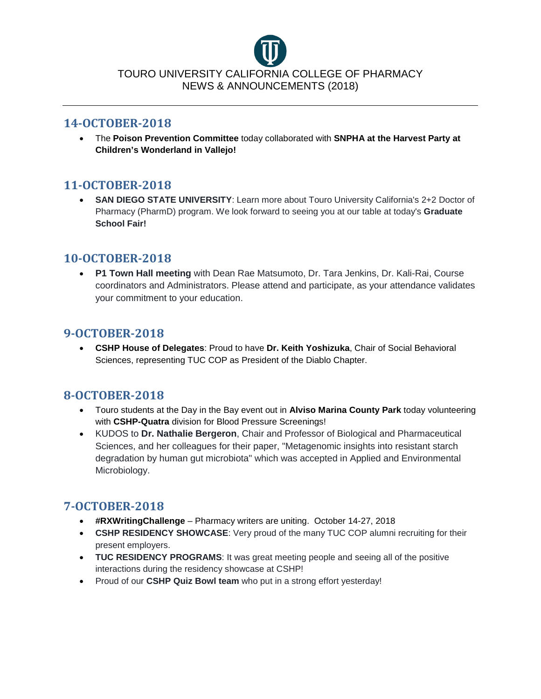

#### **14-OCTOBER-2018**

• The **Poison Prevention Committee** today collaborated with **SNPHA at the Harvest Party at Children's Wonderland in Vallejo!**

# **11-OCTOBER-2018**

• **SAN DIEGO STATE UNIVERSITY**: Learn more about Touro University California's 2+2 Doctor of Pharmacy (PharmD) program. We look forward to seeing you at our table at today's **Graduate School Fair!**

### **10-OCTOBER-2018**

• **P1 Town Hall meeting** with Dean Rae Matsumoto, Dr. Tara Jenkins, Dr. Kali-Rai, Course coordinators and Administrators. Please attend and participate, as your attendance validates your commitment to your education.

#### **9-OCTOBER-2018**

• **CSHP House of Delegates**: Proud to have **Dr. Keith Yoshizuka**, Chair of Social Behavioral Sciences, representing TUC COP as President of the Diablo Chapter.

# **8-OCTOBER-2018**

- Touro students at the Day in the Bay event out in **Alviso Marina County Park** today volunteering with **CSHP-Quatra** division for Blood Pressure Screenings!
- KUDOS to **Dr. Nathalie Bergeron**, Chair and Professor of Biological and Pharmaceutical Sciences, and her colleagues for their paper, "Metagenomic insights into resistant starch degradation by human gut microbiota" which was accepted in Applied and Environmental Microbiology.

# **7-OCTOBER-2018**

- **#RXWritingChallenge** Pharmacy writers are uniting. October 14-27, 2018
- **CSHP RESIDENCY SHOWCASE**: Very proud of the many TUC COP alumni recruiting for their present employers.
- **TUC RESIDENCY PROGRAMS**: It was great meeting people and seeing all of the positive interactions during the residency showcase at CSHP!
- Proud of our **CSHP Quiz Bowl team** who put in a strong effort yesterday!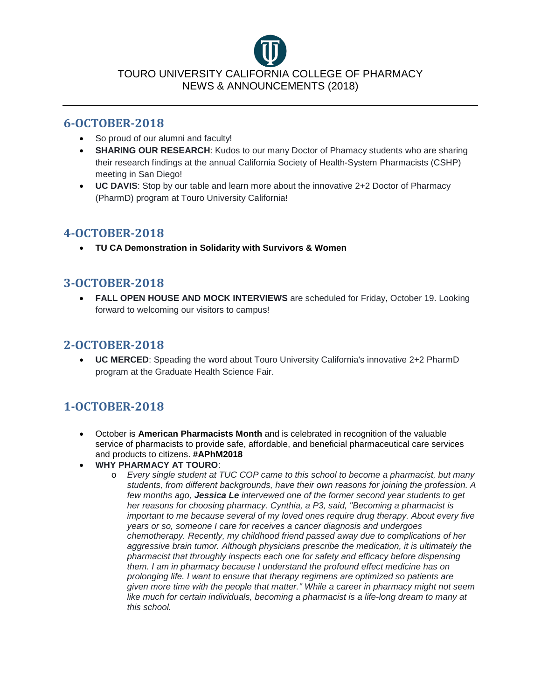

#### **6-OCTOBER-2018**

- So proud of our alumni and faculty!
- **SHARING OUR RESEARCH**: Kudos to our many Doctor of Phamacy students who are sharing their research findings at the annual California Society of Health-System Pharmacists (CSHP) meeting in San Diego!
- **UC DAVIS**: Stop by our table and learn more about the innovative 2+2 Doctor of Pharmacy (PharmD) program at Touro University California!

# **4-OCTOBER-2018**

• **TU CA Demonstration in Solidarity with Survivors & Women**

# **3-OCTOBER-2018**

• **FALL OPEN HOUSE AND MOCK INTERVIEWS** are scheduled for Friday, October 19. Looking forward to welcoming our visitors to campus!

#### **2-OCTOBER-2018**

• **UC MERCED**: Speading the word about Touro University California's innovative 2+2 PharmD program at the Graduate Health Science Fair.

# **1-OCTOBER-2018**

- October is **American Pharmacists Month** and is celebrated in recognition of the valuable service of pharmacists to provide safe, affordable, and beneficial pharmaceutical care services and products to citizens. **#APhM2018**
- **WHY PHARMACY AT TOURO**:
	- o *Every single student at TUC COP came to this school to become a pharmacist, but many students, from different backgrounds, have their own reasons for joining the profession. A few months ago, Jessica Le intervewed one of the former second year students to get her reasons for choosing pharmacy. Cynthia, a P3, said, "Becoming a pharmacist is important to me because several of my loved ones require drug therapy. About every five years or so, someone I care for receives a cancer diagnosis and undergoes chemotherapy. Recently, my childhood friend passed away due to complications of her aggressive brain tumor. Although physicians prescribe the medication, it is ultimately the pharmacist that throughly inspects each one for safety and efficacy before dispensing them. I am in pharmacy because I understand the profound effect medicine has on prolonging life. I want to ensure that therapy regimens are optimized so patients are given more time with the people that matter." While a career in pharmacy might not seem like much for certain individuals, becoming a pharmacist is a life-long dream to many at this school.*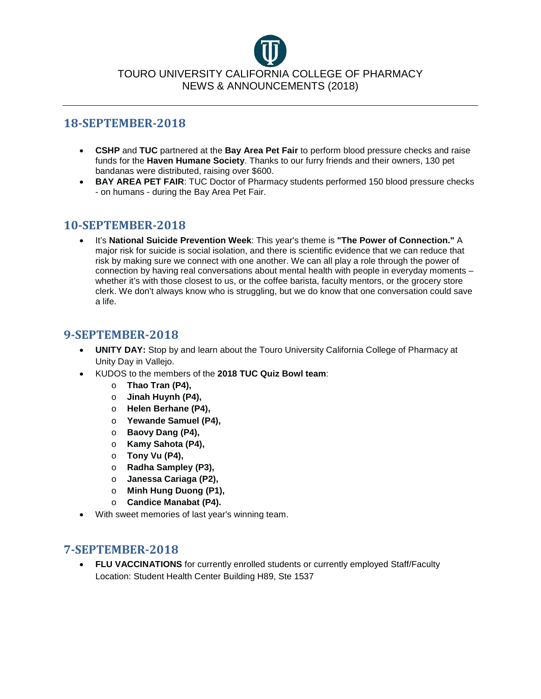#### **18-SEPTEMBER-2018**

- **CSHP** and **TUC** partnered at the **Bay Area Pet Fair** to perform blood pressure checks and raise funds for the **Haven Humane Society**. Thanks to our furry friends and their owners, 130 pet bandanas were distributed, raising over \$600.
- **BAY AREA PET FAIR**: TUC Doctor of Pharmacy students performed 150 blood pressure checks - on humans - during the Bay Area Pet Fair.

### **10-SEPTEMBER-2018**

• It's **National Suicide Prevention Week**: This year's theme is **"The Power of Connection."** A major risk for suicide is social isolation, and there is scientific evidence that we can reduce that risk by making sure we connect with one another. We can all play a role through the power of connection by having real conversations about mental health with people in everyday moments – whether it's with those closest to us, or the coffee barista, faculty mentors, or the grocery store clerk. We don't always know who is struggling, but we do know that one conversation could save a life.

#### **9-SEPTEMBER-2018**

- **UNITY DAY:** Stop by and learn about the Touro University California College of Pharmacy at Unity Day in Vallejo.
- KUDOS to the members of the **2018 TUC Quiz Bowl team**:
	- o **Thao Tran (P4),**
	- o **Jinah Huynh (P4),**
	- o **Helen Berhane (P4),**
	- o **Yewande Samuel (P4),**
	- o **Baovy Dang (P4),**
	- o **Kamy Sahota (P4),**
	- o **Tony Vu (P4),**
	- o **Radha Sampley (P3),**
	- o **Janessa Cariaga (P2),**
	- o **Minh Hung Duong (P1),**
	- o **Candice Manabat (P4).**
- With sweet memories of last year's winning team.

#### **7-SEPTEMBER-2018**

• **FLU VACCINATIONS** for currently enrolled students or currently employed Staff/Faculty Location: Student Health Center Building H89, Ste 1537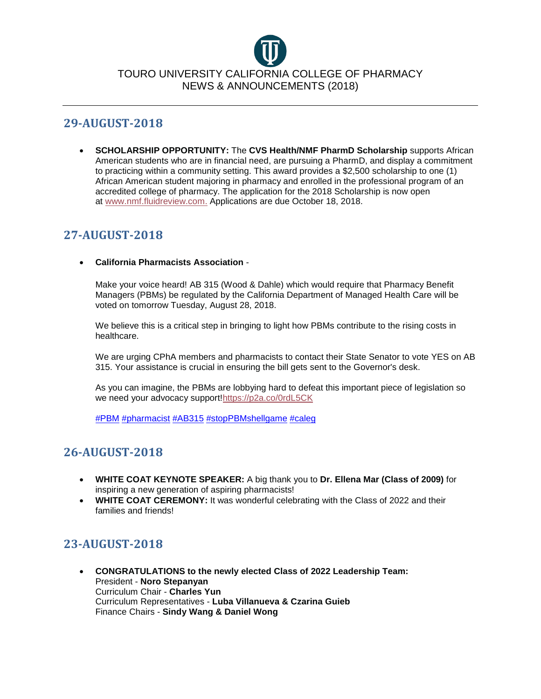

#### **29-AUGUST-2018**

• **SCHOLARSHIP OPPORTUNITY:** The **CVS Health/NMF PharmD Scholarship** supports African American students who are in financial need, are pursuing a PharmD, and display a commitment to practicing within a community setting. This award provides a \$2,500 scholarship to one (1) African American student majoring in pharmacy and enrolled in the professional program of an accredited college of pharmacy. The application for the 2018 Scholarship is now open at [www.nmf.fluidreview.com.](http://www.nmf.fluidreview.com/) Applications are due October 18, 2018.

# **27-AUGUST-2018**

#### • **California Pharmacists Association** -

Make your voice heard! AB 315 (Wood & Dahle) which would require that Pharmacy Benefit Managers (PBMs) be regulated by the California Department of Managed Health Care will be voted on tomorrow Tuesday, August 28, 2018.

We believe this is a critical step in bringing to light how PBMs contribute to the rising costs in healthcare.

We are urging CPhA members and pharmacists to contact their State Senator to vote YES on AB 315. Your assistance is crucial in ensuring the bill gets sent to the Governor's desk.

As you can imagine, the PBMs are lobbying hard to defeat this important piece of legislation so we need your advocacy support[!https://p2a.co/0rdL5CK](https://l.facebook.com/l.php?u=https%3A%2F%2Fp2a.co%2F0rdL5CK&h=AT12MoTtZWSrowsSJdPwLO1xc-sdi7Gm3Lymiq4Q630kRYrPD7vqunI4ncWrIVGM1BG_LZg75uoogrIanSuyYPnKJWYdbicAEtv9pqypqzrW_Wd_YHP2Waluf3G0t0xuyWeIFu7EXb85PxTtDNrrEkNI7tXfnOU09BOLYHN6GrPsViIdBsqMLvhPQbEltSq_65EKN3knYA0HMVpn6YHraXvJI--sXpmMHNKUBcge_JHv399HdtYbOuPPwV-m1H9Kh_V3i0iiIkFjqKPP9GiKtPUaDvV1jU4jU9dGjSKNrDE-iCCkIupfwPeVFuTWpHj-K_AJSG3ytSbxV4RltqI4aFOHhSt8UncrEHvzEjqYveCnor102VAHF4qQ20XFnIp7priyz2UgyrkRXDXzme5ysAPvj784Jw)

[#PBM](https://www.facebook.com/hashtag/pbm?source=feed_text&__xts__%5B0%5D=68.ARBoWWbb78cPFg7AbiBm5eCX9dDpY_Cr4yC_u-wPJw-vMttx9hafvuh3FbeYo2nLwDwU7iIOY3u50HsbK5WrQuqXhvPLYLHT175rApexqnjeBPzakDLwtal0ZIBxfRpkFVLZzB2Z5LDIXfrkzoCytLEmxMaVpW8i0olTccBZpAKN-exSTggn&__tn__=%2ANKH-R) [#pharmacist](https://www.facebook.com/hashtag/pharmacist?source=feed_text&__xts__%5B0%5D=68.ARBoWWbb78cPFg7AbiBm5eCX9dDpY_Cr4yC_u-wPJw-vMttx9hafvuh3FbeYo2nLwDwU7iIOY3u50HsbK5WrQuqXhvPLYLHT175rApexqnjeBPzakDLwtal0ZIBxfRpkFVLZzB2Z5LDIXfrkzoCytLEmxMaVpW8i0olTccBZpAKN-exSTggn&__tn__=%2ANKH-R) [#AB315](https://www.facebook.com/hashtag/ab315?source=feed_text&__xts__%5B0%5D=68.ARBoWWbb78cPFg7AbiBm5eCX9dDpY_Cr4yC_u-wPJw-vMttx9hafvuh3FbeYo2nLwDwU7iIOY3u50HsbK5WrQuqXhvPLYLHT175rApexqnjeBPzakDLwtal0ZIBxfRpkFVLZzB2Z5LDIXfrkzoCytLEmxMaVpW8i0olTccBZpAKN-exSTggn&__tn__=%2ANKH-R) [#stopPBMshellgame](https://www.facebook.com/hashtag/stoppbmshellgame?source=feed_text&__xts__%5B0%5D=68.ARBoWWbb78cPFg7AbiBm5eCX9dDpY_Cr4yC_u-wPJw-vMttx9hafvuh3FbeYo2nLwDwU7iIOY3u50HsbK5WrQuqXhvPLYLHT175rApexqnjeBPzakDLwtal0ZIBxfRpkFVLZzB2Z5LDIXfrkzoCytLEmxMaVpW8i0olTccBZpAKN-exSTggn&__tn__=%2ANKH-R) [#caleg](https://www.facebook.com/hashtag/caleg?source=feed_text&__xts__%5B0%5D=68.ARBoWWbb78cPFg7AbiBm5eCX9dDpY_Cr4yC_u-wPJw-vMttx9hafvuh3FbeYo2nLwDwU7iIOY3u50HsbK5WrQuqXhvPLYLHT175rApexqnjeBPzakDLwtal0ZIBxfRpkFVLZzB2Z5LDIXfrkzoCytLEmxMaVpW8i0olTccBZpAKN-exSTggn&__tn__=%2ANKH-R)

# **26-AUGUST-2018**

- **WHITE COAT KEYNOTE SPEAKER:** A big thank you to **Dr. Ellena Mar (Class of 2009)** for inspiring a new generation of aspiring pharmacists!
- WHITE COAT CEREMONY: It was wonderful celebrating with the Class of 2022 and their families and friends!

# **23-AUGUST-2018**

• **CONGRATULATIONS to the newly elected Class of 2022 Leadership Team:** President - **Noro Stepanyan** Curriculum Chair - **Charles Yun** Curriculum Representatives - **Luba Villanueva & Czarina Guieb** Finance Chairs - **Sindy Wang & Daniel Wong**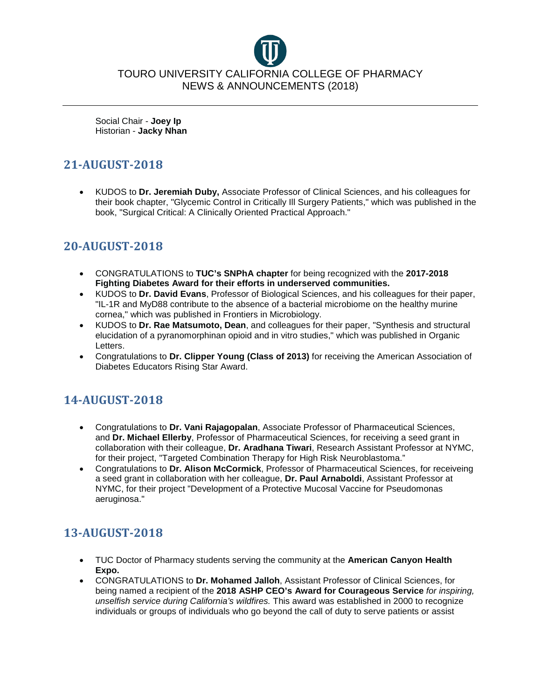Social Chair - **Joey Ip** Historian - **Jacky Nhan**

# **21-AUGUST-2018**

• KUDOS to **Dr. Jeremiah Duby,** Associate Professor of Clinical Sciences, and his colleagues for their book chapter, "Glycemic Control in Critically Ill Surgery Patients," which was published in the book, "Surgical Critical: A Clinically Oriented Practical Approach."

# **20-AUGUST-2018**

- CONGRATULATIONS to **TUC's SNPhA chapter** for being recognized with the **2017-2018 Fighting Diabetes Award for their efforts in underserved communities.**
- KUDOS to **Dr. David Evans**, Professor of Biological Sciences, and his colleagues for their paper, "IL-1R and MyD88 contribute to the absence of a bacterial microbiome on the healthy murine cornea," which was published in Frontiers in Microbiology.
- KUDOS to **Dr. Rae Matsumoto, Dean**, and colleagues for their paper, "Synthesis and structural elucidation of a pyranomorphinan opioid and in vitro studies," which was published in Organic Letters.
- Congratulations to **Dr. Clipper Young (Class of 2013)** for receiving the American Association of Diabetes Educators Rising Star Award.

# **14-AUGUST-2018**

- Congratulations to **Dr. Vani Rajagopalan**, Associate Professor of Pharmaceutical Sciences, and **Dr. Michael Ellerby**, Professor of Pharmaceutical Sciences, for receiving a seed grant in collaboration with their colleague, **Dr. Aradhana Tiwari**, Research Assistant Professor at NYMC, for their project, "Targeted Combination Therapy for High Risk Neuroblastoma."
- Congratulations to **Dr. Alison McCormick**, Professor of Pharmaceutical Sciences, for receiveing a seed grant in collaboration with her colleague, **Dr. Paul Arnaboldi**, Assistant Professor at NYMC, for their project "Development of a Protective Mucosal Vaccine for Pseudomonas aeruginosa."

# **13-AUGUST-2018**

- TUC Doctor of Pharmacy students serving the community at the **American Canyon Health Expo.**
- CONGRATULATIONS to **Dr. Mohamed Jalloh**, Assistant Professor of Clinical Sciences, for being named a recipient of the **2018 ASHP CEO's Award for Courageous Service** *for inspiring, unselfish service during California's wildfires.* This award was established in 2000 to recognize individuals or groups of individuals who go beyond the call of duty to serve patients or assist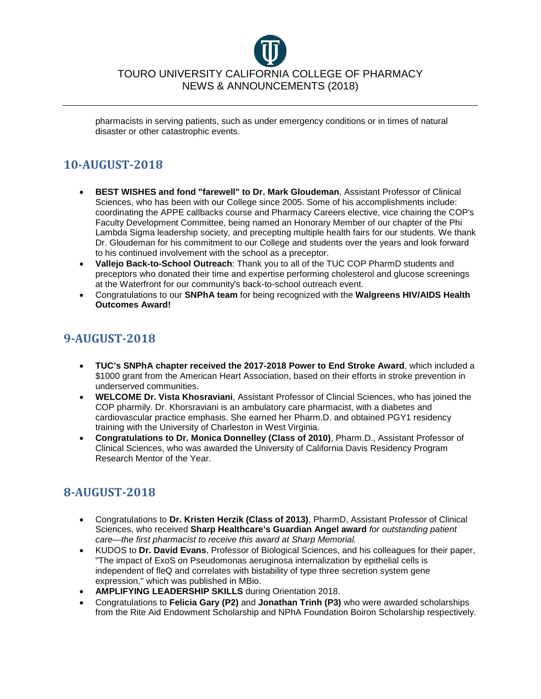

pharmacists in serving patients, such as under emergency conditions or in times of natural disaster or other catastrophic events.

# **10-AUGUST-2018**

- **BEST WISHES and fond "farewell" to Dr. Mark Gloudeman**, Assistant Professor of Clinical Sciences, who has been with our College since 2005. Some of his accomplishments include: coordinating the APPE callbacks course and Pharmacy Careers elective, vice chairing the COP's Faculty Development Committee, being named an Honorary Member of our chapter of the Phi Lambda Sigma leadership society, and precepting multiple health fairs for our students. We thank Dr. Gloudeman for his commitment to our College and students over the years and look forward to his continued involvement with the school as a preceptor.
- **Vallejo Back-to-School Outreach**: Thank you to all of the TUC COP PharmD students and preceptors who donated their time and expertise performing cholesterol and glucose screenings at the Waterfront for our community's back-to-school outreach event.
- Congratulations to our **SNPhA team** for being recognized with the **Walgreens HIV/AIDS Health Outcomes Award!**

# **9-AUGUST-2018**

- **TUC's SNPhA chapter received the 2017-2018 Power to End Stroke Award**, which included a \$1000 grant from the American Heart Association, based on their efforts in stroke prevention in underserved communities.
- **WELCOME Dr. Vista Khosraviani**, Assistant Professor of Clincial Sciences, who has joined the COP pharmily. Dr. Khorsraviani is an ambulatory care pharmacist, with a diabetes and cardiovascular practice emphasis. She earned her Pharm.D. and obtained PGY1 residency training with the University of Charleston in West Virginia.
- **Congratulations to Dr. Monica Donnelley (Class of 2010)**, Pharm.D., Assistant Professor of Clinical Sciences, who was awarded the University of California Davis Residency Program Research Mentor of the Year.

# **8-AUGUST-2018**

- Congratulations to **Dr. Kristen Herzik (Class of 2013)**, PharmD, Assistant Professor of Clinical Sciences, who received **Sharp Healthcare's Guardian Angel award** *for outstanding patient care—the first pharmacist to receive this award at Sharp Memorial.*
- KUDOS to **Dr. David Evans**, Professor of Biological Sciences, and his colleagues for their paper, "The impact of ExoS on Pseudomonas aeruginosa internalization by epithelial cells is independent of fleQ and correlates with bistability of type three secretion system gene expression," which was published in MBio.
- **AMPLIFYING LEADERSHIP SKILLS** during Orientation 2018.
- Congratulations to **Felicia Gary (P2)** and **Jonathan Trinh (P3)** who were awarded scholarships from the Rite Aid Endowment Scholarship and NPhA Foundation Boiron Scholarship respectively.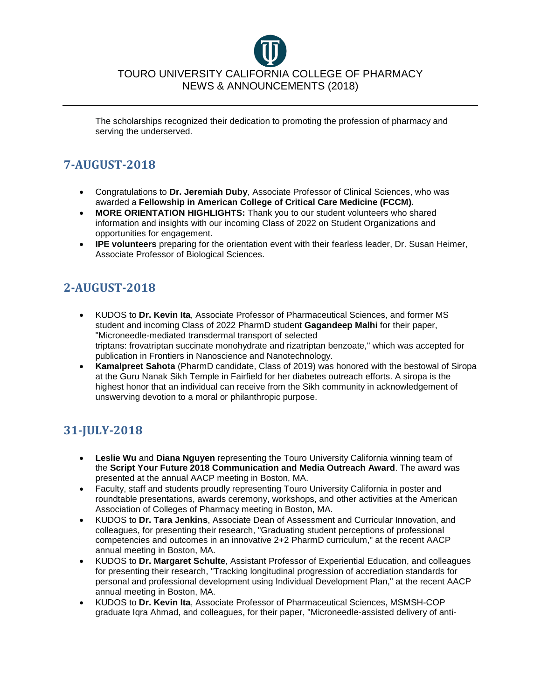

The scholarships recognized their dedication to promoting the profession of pharmacy and serving the underserved.

# **7-AUGUST-2018**

- Congratulations to **Dr. Jeremiah Duby**, Associate Professor of Clinical Sciences, who was awarded a **Fellowship in American College of Critical Care Medicine (FCCM).**
- **MORE ORIENTATION HIGHLIGHTS:** Thank you to our student volunteers who shared information and insights with our incoming Class of 2022 on Student Organizations and opportunities for engagement.
- **IPE volunteers** preparing for the orientation event with their fearless leader, Dr. Susan Heimer, Associate Professor of Biological Sciences.

# **2-AUGUST-2018**

- KUDOS to **Dr. Kevin Ita**, Associate Professor of Pharmaceutical Sciences, and former MS student and incoming Class of 2022 PharmD student **Gagandeep Malhi** for their paper, "Microneedle-mediated transdermal transport of selected triptans: frovatriptan succinate monohydrate and rizatriptan benzoate," which was accepted for publication in Frontiers in Nanoscience and Nanotechnology.
- **Kamalpreet Sahota** (PharmD candidate, Class of 2019) was honored with the bestowal of Siropa at the Guru Nanak Sikh Temple in Fairfield for her diabetes outreach efforts. A siropa is the highest honor that an individual can receive from the Sikh community in acknowledgement of unswerving devotion to a moral or philanthropic purpose.

# **31-JULY-2018**

- **Leslie Wu** and **Diana Nguyen** representing the Touro University California winning team of the **Script Your Future 2018 Communication and Media Outreach Award**. The award was presented at the annual AACP meeting in Boston, MA.
- Faculty, staff and students proudly representing Touro University California in poster and roundtable presentations, awards ceremony, workshops, and other activities at the American Association of Colleges of Pharmacy meeting in Boston, MA.
- KUDOS to **Dr. Tara Jenkins**, Associate Dean of Assessment and Curricular Innovation, and colleagues, for presenting their research, "Graduating student perceptions of professional competencies and outcomes in an innovative 2+2 PharmD curriculum," at the recent AACP annual meeting in Boston, MA.
- KUDOS to **Dr. Margaret Schulte**, Assistant Professor of Experiential Education, and colleagues for presenting their research, "Tracking longitudinal progression of accrediation standards for personal and professional development using Individual Development Plan," at the recent AACP annual meeting in Boston, MA.
- KUDOS to **Dr. Kevin Ita**, Associate Professor of Pharmaceutical Sciences, MSMSH-COP graduate Iqra Ahmad, and colleagues, for their paper, "Microneedle-assisted delivery of anti-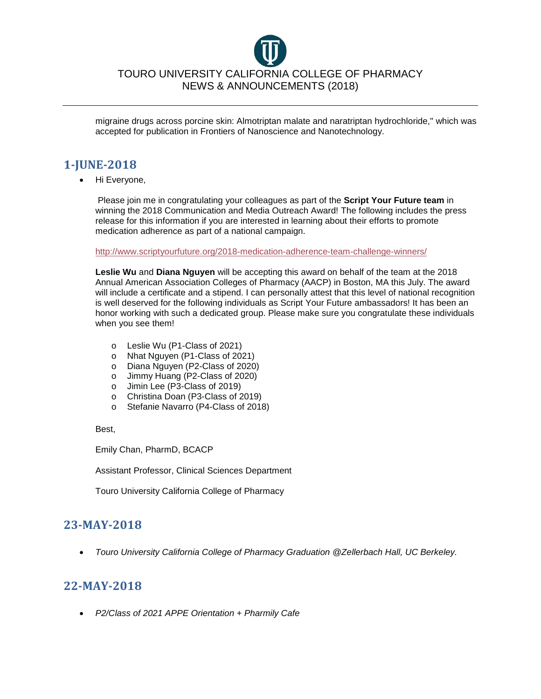

migraine drugs across porcine skin: Almotriptan malate and naratriptan hydrochloride," which was accepted for publication in Frontiers of Nanoscience and Nanotechnology.

# **1-JUNE-2018**

• Hi Everyone,

Please join me in congratulating your colleagues as part of the **Script Your Future team** in winning the 2018 Communication and Media Outreach Award! The following includes the press release for this information if you are interested in learning about their efforts to promote medication adherence as part of a national campaign.

<http://www.scriptyourfuture.org/2018-medication-adherence-team-challenge-winners/>

**Leslie Wu** and **Diana Nguyen** will be accepting this award on behalf of the team at the 2018 Annual American Association Colleges of Pharmacy (AACP) in Boston, MA this July. The award will include a certificate and a stipend. I can personally attest that this level of national recognition is well deserved for the following individuals as Script Your Future ambassadors! It has been an honor working with such a dedicated group. Please make sure you congratulate these individuals when you see them!

- o Leslie Wu (P1-Class of 2021)
- o Nhat Nguyen (P1-Class of 2021)
- 
- o Diana Nguyen (P2-Class of 2020)<br>o Jimmy Huang (P2-Class of 2020) Jimmy Huang (P2-Class of 2020)
- o Jimin Lee (P3-Class of 2019)<br>o Christina Doan (P3-Class of 2
- Christina Doan (P3-Class of 2019)
- o Stefanie Navarro (P4-Class of 2018)

Best,

Emily Chan, PharmD, BCACP

Assistant Professor, Clinical Sciences Department

Touro University California College of Pharmacy

#### **23-MAY-2018**

• *Touro University California College of Pharmacy Graduation @Zellerbach Hall, UC Berkeley.*

# **22-MAY-2018**

• *P2/Class of 2021 APPE Orientation + Pharmily Cafe*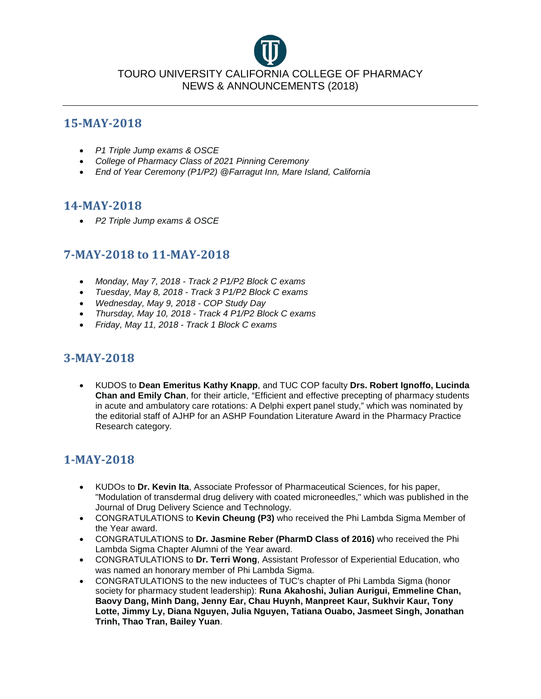

#### **15-MAY-2018**

- *P1 Triple Jump exams & OSCE*
- *College of Pharmacy Class of 2021 Pinning Ceremony*
- *End of Year Ceremony (P1/P2) @Farragut Inn, Mare Island, California*

### **14-MAY-2018**

• *P2 Triple Jump exams & OSCE*

# **7-MAY-2018 to 11-MAY-2018**

- *Monday, May 7, 2018 - Track 2 P1/P2 Block C exams*
- *Tuesday, May 8, 2018 - Track 3 P1/P2 Block C exams*
- *Wednesday, May 9, 2018 - COP Study Day*
- *Thursday, May 10, 2018 - Track 4 P1/P2 Block C exams*
- *Friday, May 11, 2018 - Track 1 Block C exams*

# **3-MAY-2018**

• KUDOS to **Dean Emeritus Kathy Knapp**, and TUC COP faculty **Drs. Robert Ignoffo, Lucinda Chan and Emily Chan**, for their article, "Efficient and effective precepting of pharmacy students in acute and ambulatory care rotations: A Delphi expert panel study," which was nominated by the editorial staff of AJHP for an ASHP Foundation Literature Award in the Pharmacy Practice Research category.

# **1-MAY-2018**

- KUDOs to **Dr. Kevin Ita**, Associate Professor of Pharmaceutical Sciences, for his paper, "Modulation of transdermal drug delivery with coated microneedles," which was published in the Journal of Drug Delivery Science and Technology.
- CONGRATULATIONS to **Kevin Cheung (P3)** who received the Phi Lambda Sigma Member of the Year award.
- CONGRATULATIONS to **Dr. Jasmine Reber (PharmD Class of 2016)** who received the Phi Lambda Sigma Chapter Alumni of the Year award.
- CONGRATULATIONS to **Dr. Terri Wong**, Assistant Professor of Experiential Education, who was named an honorary member of Phi Lambda Sigma.
- CONGRATULATIONS to the new inductees of TUC's chapter of Phi Lambda Sigma (honor society for pharmacy student leadership): **Runa Akahoshi, Julian Aurigui, Emmeline Chan, Baovy Dang, Minh Dang, Jenny Ear, Chau Huynh, Manpreet Kaur, Sukhvir Kaur, Tony Lotte, Jimmy Ly, Diana Nguyen, Julia Nguyen, Tatiana Ouabo, Jasmeet Singh, Jonathan Trinh, Thao Tran, Bailey Yuan**.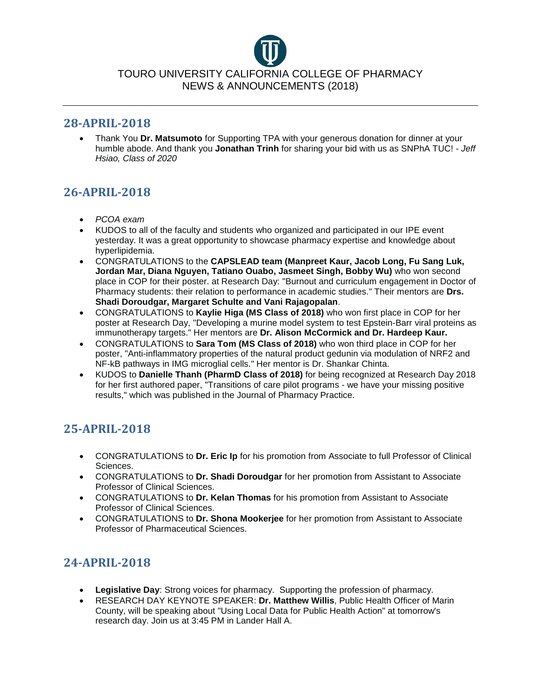#### **28-APRIL-2018**

• Thank You **Dr. Matsumoto** for Supporting TPA with your generous donation for dinner at your humble abode. And thank you **Jonathan Trinh** for sharing your bid with us as SNPhA TUC! - *Jeff Hsiao, Class of 2020*

# **26-APRIL-2018**

- *PCOA exam*
- KUDOS to all of the faculty and students who organized and participated in our IPE event yesterday. It was a great opportunity to showcase pharmacy expertise and knowledge about hyperlipidemia.
- CONGRATULATIONS to the **CAPSLEAD team (Manpreet Kaur, Jacob Long, Fu Sang Luk, Jordan Mar, Diana Nguyen, Tatiano Ouabo, Jasmeet Singh, Bobby Wu)** who won second place in COP for their poster. at Research Day: "Burnout and curriculum engagement in Doctor of Pharmacy students: their relation to performance in academic studies." Their mentors are **Drs. Shadi Doroudgar, Margaret Schulte and Vani Rajagopalan**.
- CONGRATULATIONS to **Kaylie Higa (MS Class of 2018)** who won first place in COP for her poster at Research Day, "Developing a murine model system to test Epstein-Barr viral proteins as immunotherapy targets." Her mentors are **Dr. Alison McCormick and Dr. Hardeep Kaur.**
- CONGRATULATIONS to **Sara Tom (MS Class of 2018)** who won third place in COP for her poster, "Anti-inflammatory properties of the natural product gedunin via modulation of NRF2 and NF-kB pathways in IMG microglial cells." Her mentor is Dr. Shankar Chinta.
- KUDOS to **Danielle Thanh (PharmD Class of 2018)** for being recognized at Research Day 2018 for her first authored paper, "Transitions of care pilot programs - we have your missing positive results," which was published in the Journal of Pharmacy Practice.

# **25-APRIL-2018**

- CONGRATULATIONS to **Dr. Eric Ip** for his promotion from Associate to full Professor of Clinical Sciences.
- CONGRATULATIONS to **Dr. Shadi Doroudgar** for her promotion from Assistant to Associate Professor of Clinical Sciences.
- CONGRATULATIONS to **Dr. Kelan Thomas** for his promotion from Assistant to Associate Professor of Clinical Sciences.
- CONGRATULATIONS to **Dr. Shona Mookerjee** for her promotion from Assistant to Associate Professor of Pharmaceutical Sciences.

# **24-APRIL-2018**

- **Legislative Day**: Strong voices for pharmacy. Supporting the profession of pharmacy.
- RESEARCH DAY KEYNOTE SPEAKER: **Dr. Matthew Willis**, Public Health Officer of Marin County, will be speaking about "Using Local Data for Public Health Action" at tomorrow's research day. Join us at 3:45 PM in Lander Hall A.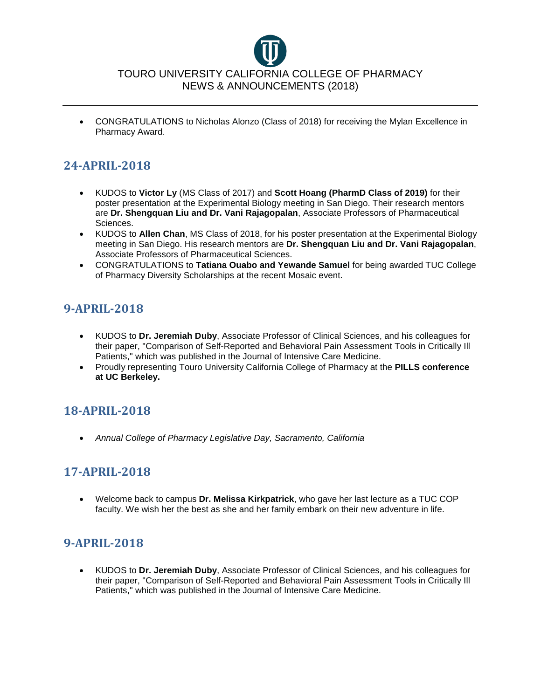

• CONGRATULATIONS to Nicholas Alonzo (Class of 2018) for receiving the Mylan Excellence in Pharmacy Award.

# **24-APRIL-2018**

- KUDOS to **Victor Ly** (MS Class of 2017) and **Scott Hoang (PharmD Class of 2019)** for their poster presentation at the Experimental Biology meeting in San Diego. Their research mentors are **Dr. Shengquan Liu and Dr. Vani Rajagopalan**, Associate Professors of Pharmaceutical Sciences.
- KUDOS to **Allen Chan**, MS Class of 2018, for his poster presentation at the Experimental Biology meeting in San Diego. His research mentors are **Dr. Shengquan Liu and Dr. Vani Rajagopalan**, Associate Professors of Pharmaceutical Sciences.
- CONGRATULATIONS to **Tatiana Ouabo and Yewande Samuel** for being awarded TUC College of Pharmacy Diversity Scholarships at the recent Mosaic event.

# **9-APRIL-2018**

- KUDOS to **Dr. Jeremiah Duby**, Associate Professor of Clinical Sciences, and his colleagues for their paper, "Comparison of Self-Reported and Behavioral Pain Assessment Tools in Critically Ill Patients," which was published in the Journal of Intensive Care Medicine.
- Proudly representing Touro University California College of Pharmacy at the **PILLS conference at UC Berkeley.**

# **18-APRIL-2018**

• *Annual College of Pharmacy Legislative Day, Sacramento, California*

# **17-APRIL-2018**

• Welcome back to campus **Dr. Melissa Kirkpatrick**, who gave her last lecture as a TUC COP faculty. We wish her the best as she and her family embark on their new adventure in life.

# **9-APRIL-2018**

• KUDOS to **Dr. Jeremiah Duby**, Associate Professor of Clinical Sciences, and his colleagues for their paper, "Comparison of Self-Reported and Behavioral Pain Assessment Tools in Critically Ill Patients," which was published in the Journal of Intensive Care Medicine.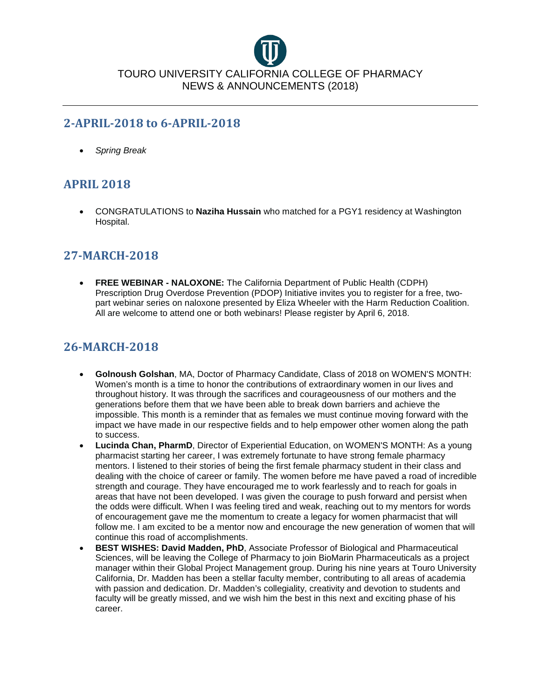

### **2-APRIL-2018 to 6-APRIL-2018**

• *Spring Break*

# **APRIL 2018**

• CONGRATULATIONS to **Naziha Hussain** who matched for a PGY1 residency at Washington Hospital.

### **27-MARCH-2018**

• **FREE WEBINAR - NALOXONE:** The California Department of Public Health (CDPH) Prescription Drug Overdose Prevention (PDOP) Initiative invites you to register for a free, twopart webinar series on naloxone presented by Eliza Wheeler with the Harm Reduction Coalition. All are welcome to attend one or both webinars! Please register by April 6, 2018.

# **26-MARCH-2018**

- **Golnoush Golshan**, MA, Doctor of Pharmacy Candidate, Class of 2018 on WOMEN'S MONTH: Women's month is a time to honor the contributions of extraordinary women in our lives and throughout history. It was through the sacrifices and courageousness of our mothers and the generations before them that we have been able to break down barriers and achieve the impossible. This month is a reminder that as females we must continue moving forward with the impact we have made in our respective fields and to help empower other women along the path to success.
- **Lucinda Chan, PharmD**, Director of Experiential Education, on WOMEN'S MONTH: As a young pharmacist starting her career, I was extremely fortunate to have strong female pharmacy mentors. I listened to their stories of being the first female pharmacy student in their class and dealing with the choice of career or family. The women before me have paved a road of incredible strength and courage. They have encouraged me to work fearlessly and to reach for goals in areas that have not been developed. I was given the courage to push forward and persist when the odds were difficult. When I was feeling tired and weak, reaching out to my mentors for words of encouragement gave me the momentum to create a legacy for women pharmacist that will follow me. I am excited to be a mentor now and encourage the new generation of women that will continue this road of accomplishments.
- **BEST WISHES: David Madden, PhD**, Associate Professor of Biological and Pharmaceutical Sciences, will be leaving the College of Pharmacy to join BioMarin Pharmaceuticals as a project manager within their Global Project Management group. During his nine years at Touro University California, Dr. Madden has been a stellar faculty member, contributing to all areas of academia with passion and dedication. Dr. Madden's collegiality, creativity and devotion to students and faculty will be greatly missed, and we wish him the best in this next and exciting phase of his career.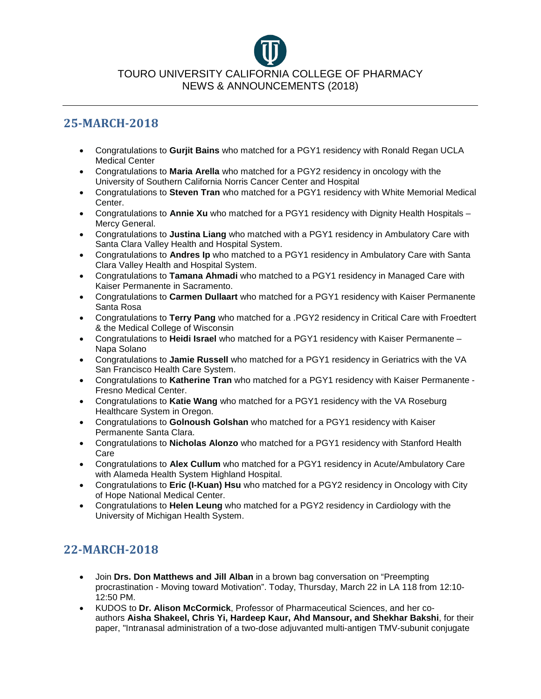### **25-MARCH-2018**

- Congratulations to **Gurjit Bains** who matched for a PGY1 residency with Ronald Regan UCLA Medical Center
- Congratulations to **Maria Arella** who matched for a PGY2 residency in oncology with the University of Southern California Norris Cancer Center and Hospital
- Congratulations to **Steven Tran** who matched for a PGY1 residency with White Memorial Medical Center.
- Congratulations to **Annie Xu** who matched for a PGY1 residency with Dignity Health Hospitals Mercy General.
- Congratulations to **Justina Liang** who matched with a PGY1 residency in Ambulatory Care with Santa Clara Valley Health and Hospital System.
- Congratulations to **Andres Ip** who matched to a PGY1 residency in Ambulatory Care with Santa Clara Valley Health and Hospital System.
- Congratulations to **Tamana Ahmadi** who matched to a PGY1 residency in Managed Care with Kaiser Permanente in Sacramento.
- Congratulations to **Carmen Dullaart** who matched for a PGY1 residency with Kaiser Permanente Santa Rosa
- Congratulations to **Terry Pang** who matched for a .PGY2 residency in Critical Care with Froedtert & the Medical College of Wisconsin
- Congratulations to **Heidi Israel** who matched for a PGY1 residency with Kaiser Permanente Napa Solano
- Congratulations to **Jamie Russell** who matched for a PGY1 residency in Geriatrics with the VA San Francisco Health Care System.
- Congratulations to **Katherine Tran** who matched for a PGY1 residency with Kaiser Permanente Fresno Medical Center.
- Congratulations to **Katie Wang** who matched for a PGY1 residency with the VA Roseburg Healthcare System in Oregon.
- Congratulations to **Golnoush Golshan** who matched for a PGY1 residency with Kaiser Permanente Santa Clara.
- Congratulations to **Nicholas Alonzo** who matched for a PGY1 residency with Stanford Health Care
- Congratulations to **Alex Cullum** who matched for a PGY1 residency in Acute/Ambulatory Care with Alameda Health System Highland Hospital.
- Congratulations to **Eric (I-Kuan) Hsu** who matched for a PGY2 residency in Oncology with City of Hope National Medical Center.
- Congratulations to **Helen Leung** who matched for a PGY2 residency in Cardiology with the University of Michigan Health System.

# **22-MARCH-2018**

- Join **Drs. Don Matthews and Jill Alban** in a brown bag conversation on "Preempting procrastination - Moving toward Motivation". Today, Thursday, March 22 in LA 118 from 12:10- 12:50 PM.
- KUDOS to **Dr. Alison McCormick**, Professor of Pharmaceutical Sciences, and her coauthors **Aisha Shakeel, Chris Yi, Hardeep Kaur, Ahd Mansour, and Shekhar Bakshi**, for their paper, "Intranasal administration of a two-dose adjuvanted multi-antigen TMV-subunit conjugate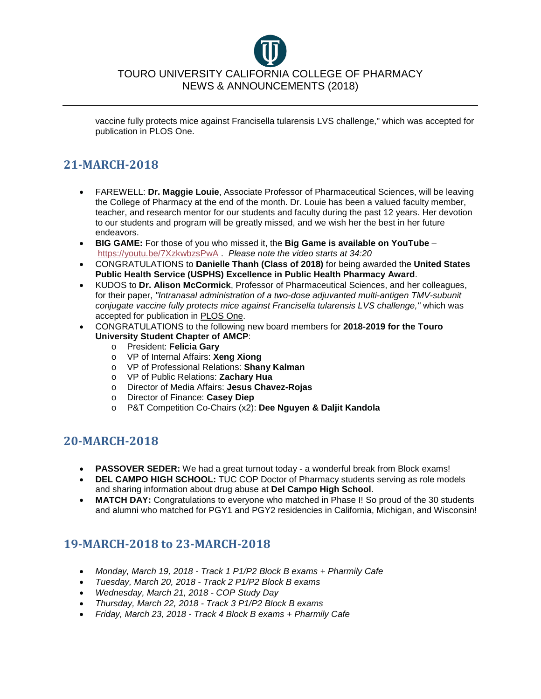vaccine fully protects mice against Francisella tularensis LVS challenge," which was accepted for publication in PLOS One.

# **21-MARCH-2018**

- FAREWELL: **Dr. Maggie Louie**, Associate Professor of Pharmaceutical Sciences, will be leaving the College of Pharmacy at the end of the month. Dr. Louie has been a valued faculty member, teacher, and research mentor for our students and faculty during the past 12 years. Her devotion to our students and program will be greatly missed, and we wish her the best in her future endeavors.
- **BIG GAME:** For those of you who missed it, the **Big Game is available on YouTube** <https://youtu.be/7XzkwbzsPwA> . *Please note the video starts at 34:20*
- CONGRATULATIONS to **Danielle Thanh (Class of 2018)** for being awarded the **United States Public Health Service (USPHS) Excellence in Public Health Pharmacy Award**.
- KUDOS to **Dr. Alison McCormick**, Professor of Pharmaceutical Sciences, and her colleagues, for their paper, *"Intranasal administration of a two-dose adjuvanted multi-antigen TMV-subunit conjugate vaccine fully protects mice against Francisella tularensis LVS challenge,"* which was accepted for publication in PLOS One.
- CONGRATULATIONS to the following new board members for **2018-2019 for the Touro University Student Chapter of AMCP**:
	- o President: **Felicia Gary**
	- o VP of Internal Affairs: **Xeng Xiong**
	- o VP of Professional Relations: **Shany Kalman**
	- o VP of Public Relations: **Zachary Hua**
	- o Director of Media Affairs: **Jesus Chavez-Rojas**
	- o Director of Finance: **Casey Diep**
	- o P&T Competition Co-Chairs (x2): **Dee Nguyen & Daljit Kandola**

# **20-MARCH-2018**

- **PASSOVER SEDER:** We had a great turnout today a wonderful break from Block exams!
- **DEL CAMPO HIGH SCHOOL:** TUC COP Doctor of Pharmacy students serving as role models and sharing information about drug abuse at **Del Campo High School**.
- MATCH DAY: Congratulations to everyone who matched in Phase I! So proud of the 30 students and alumni who matched for PGY1 and PGY2 residencies in California, Michigan, and Wisconsin!

# **19-MARCH-2018 to 23-MARCH-2018**

- *Monday, March 19, 2018 - Track 1 P1/P2 Block B exams + Pharmily Cafe*
- *Tuesday, March 20, 2018 - Track 2 P1/P2 Block B exams*
- *Wednesday, March 21, 2018 - COP Study Day*
- *Thursday, March 22, 2018 - Track 3 P1/P2 Block B exams*
- *Friday, March 23, 2018 - Track 4 Block B exams + Pharmily Cafe*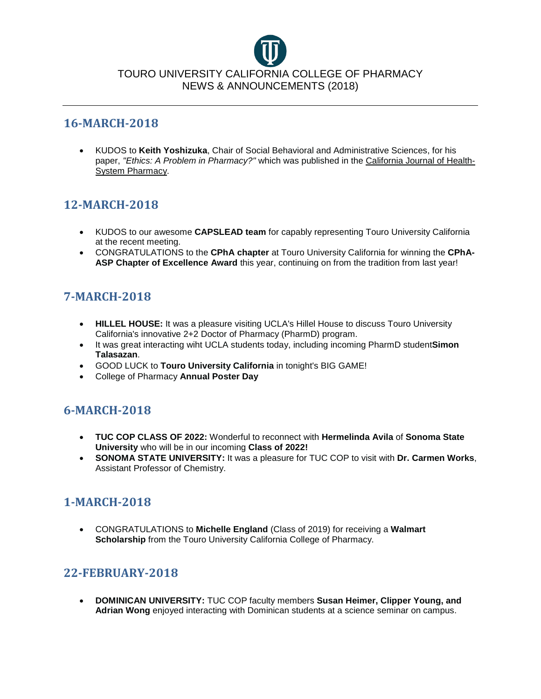

#### **16-MARCH-2018**

• KUDOS to **Keith Yoshizuka**, Chair of Social Behavioral and Administrative Sciences, for his paper, *"Ethics: A Problem in Pharmacy?"* which was published in the California Journal of Health-System Pharmacy.

# **12-MARCH-2018**

- KUDOS to our awesome **CAPSLEAD team** for capably representing Touro University California at the recent meeting.
- CONGRATULATIONS to the **CPhA chapter** at Touro University California for winning the **CPhA-ASP Chapter of Excellence Award** this year, continuing on from the tradition from last year!

# **7-MARCH-2018**

- **HILLEL HOUSE:** It was a pleasure visiting UCLA's Hillel House to discuss Touro University California's innovative 2+2 Doctor of Pharmacy (PharmD) program.
- It was great interacting wiht UCLA students today, including incoming PharmD student**Simon Talasazan**.
- GOOD LUCK to **Touro University California** in tonight's BIG GAME!
- College of Pharmacy **Annual Poster Day**

# **6-MARCH-2018**

- **TUC COP CLASS OF 2022:** Wonderful to reconnect with **Hermelinda Avila** of **Sonoma State University** who will be in our incoming **Class of 2022!**
- **SONOMA STATE UNIVERSITY:** It was a pleasure for TUC COP to visit with **Dr. Carmen Works**, Assistant Professor of Chemistry.

# **1-MARCH-2018**

• CONGRATULATIONS to **Michelle England** (Class of 2019) for receiving a **Walmart Scholarship** from the Touro University California College of Pharmacy.

# **22-FEBRUARY-2018**

• **DOMINICAN UNIVERSITY:** TUC COP faculty members **Susan Heimer, Clipper Young, and Adrian Wong** enjoyed interacting with Dominican students at a science seminar on campus.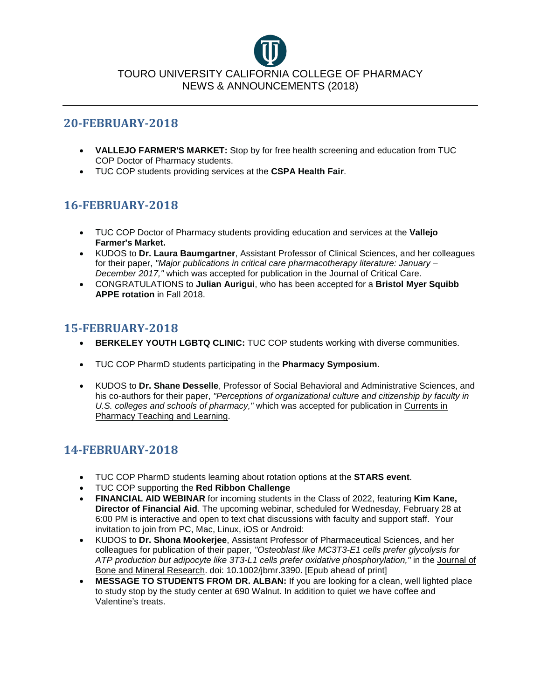

#### **20-FEBRUARY-2018**

- **VALLEJO FARMER'S MARKET:** Stop by for free health screening and education from TUC COP Doctor of Pharmacy students.
- TUC COP students providing services at the **CSPA Health Fair**.

# **16-FEBRUARY-2018**

- TUC COP Doctor of Pharmacy students providing education and services at the **Vallejo Farmer's Market.**
- KUDOS to **Dr. Laura Baumgartner**, Assistant Professor of Clinical Sciences, and her colleagues for their paper, *"Major publications in critical care pharmacotherapy literature: January – December 2017,"* which was accepted for publication in the Journal of Critical Care.
- CONGRATULATIONS to **Julian Aurigui**, who has been accepted for a **Bristol Myer Squibb APPE rotation** in Fall 2018.

### **15-FEBRUARY-2018**

- **BERKELEY YOUTH LGBTQ CLINIC:** TUC COP students working with diverse communities.
- TUC COP PharmD students participating in the **Pharmacy Symposium**.
- KUDOS to **Dr. Shane Desselle**, Professor of Social Behavioral and Administrative Sciences, and his co-authors for their paper, *"Perceptions of organizational culture and citizenship by faculty in U.S. colleges and schools of pharmacy,"* which was accepted for publication in Currents in Pharmacy Teaching and Learning.

# **14-FEBRUARY-2018**

- TUC COP PharmD students learning about rotation options at the **STARS event**.
- TUC COP supporting the **Red Ribbon Challenge**
- **FINANCIAL AID WEBINAR** for incoming students in the Class of 2022, featuring **Kim Kane, Director of Financial Aid**. The upcoming webinar, scheduled for Wednesday, February 28 at 6:00 PM is interactive and open to text chat discussions with faculty and support staff. Your invitation to join from PC, Mac, Linux, iOS or Android:
- KUDOS to **Dr. Shona Mookerjee**, Assistant Professor of Pharmaceutical Sciences, and her colleagues for publication of their paper, *"Osteoblast like MC3T3-E1 cells prefer glycolysis for ATP production but adipocyte like 3T3-L1 cells prefer oxidative phosphorylation,"* in the Journal of Bone and Mineral Research. doi: 10.1002/jbmr.3390. [Epub ahead of print]
- **MESSAGE TO STUDENTS FROM DR. ALBAN:** If you are looking for a clean, well lighted place to study stop by the study center at 690 Walnut. In addition to quiet we have coffee and Valentine's treats.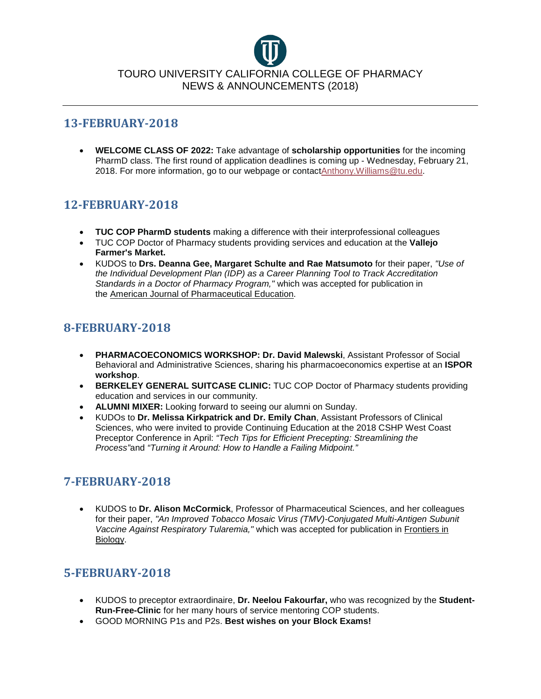

#### **13-FEBRUARY-2018**

• **WELCOME CLASS OF 2022:** Take advantage of **scholarship opportunities** for the incoming PharmD class. The first round of application deadlines is coming up - Wednesday, February 21, 2018. For more information, go to our webpage or contac[tAnthony.Williams@tu.edu.](mailto:Anthony.Williams@tu.edu)

# **12-FEBRUARY-2018**

- **TUC COP PharmD students** making a difference with their interprofessional colleagues
- TUC COP Doctor of Pharmacy students providing services and education at the **Vallejo Farmer's Market.**
- KUDOS to **Drs. Deanna Gee, Margaret Schulte and Rae Matsumoto** for their paper, *"Use of the Individual Development Plan (IDP) as a Career Planning Tool to Track Accreditation Standards in a Doctor of Pharmacy Program,"* which was accepted for publication in the American Journal of Pharmaceutical Education.

# **8-FEBRUARY-2018**

- **PHARMACOECONOMICS WORKSHOP: Dr. David Malewski**, Assistant Professor of Social Behavioral and Administrative Sciences, sharing his pharmacoeconomics expertise at an **ISPOR workshop**.
- **BERKELEY GENERAL SUITCASE CLINIC:** TUC COP Doctor of Pharmacy students providing education and services in our community.
- **ALUMNI MIXER:** Looking forward to seeing our alumni on Sunday.
- KUDOs to **Dr. Melissa Kirkpatrick and Dr. Emily Chan**, Assistant Professors of Clinical Sciences, who were invited to provide Continuing Education at the 2018 CSHP West Coast Preceptor Conference in April: *"Tech Tips for Efficient Precepting: Streamlining the Process"*and *"Turning it Around: How to Handle a Failing Midpoint."*

# **7-FEBRUARY-2018**

• KUDOS to **Dr. Alison McCormick**, Professor of Pharmaceutical Sciences, and her colleagues for their paper, *"An Improved Tobacco Mosaic Virus (TMV)-Conjugated Multi-Antigen Subunit Vaccine Against Respiratory Tularemia,"* which was accepted for publication in Frontiers in Biology.

# **5-FEBRUARY-2018**

- KUDOS to preceptor extraordinaire, **Dr. Neelou Fakourfar,** who was recognized by the **Student-Run-Free-Clinic** for her many hours of service mentoring COP students.
- GOOD MORNING P1s and P2s. **Best wishes on your Block Exams!**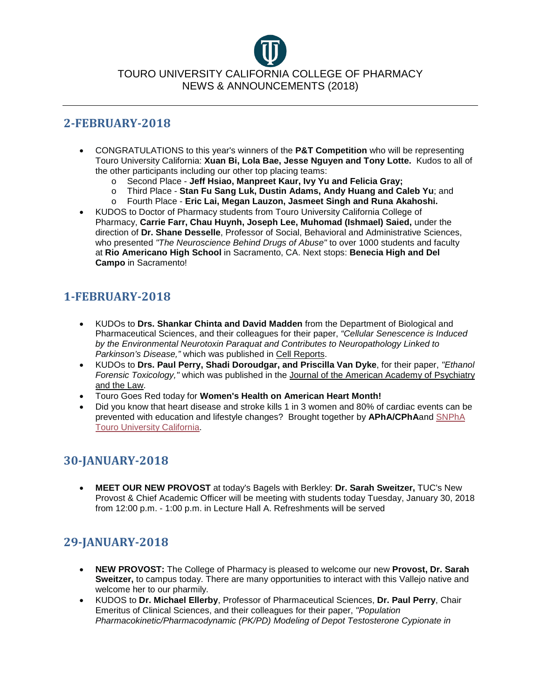### **2-FEBRUARY-2018**

- CONGRATULATIONS to this year's winners of the **P&T Competition** who will be representing Touro University California: **Xuan Bi, Lola Bae, Jesse Nguyen and Tony Lotte.** Kudos to all of the other participants including our other top placing teams:
	- o Second Place **Jeff Hsiao, Manpreet Kaur, Ivy Yu and Felicia Gray;**
	- o Third Place **Stan Fu Sang Luk, Dustin Adams, Andy Huang and Caleb Yu**; and
	- o Fourth Place **Eric Lai, Megan Lauzon, Jasmeet Singh and Runa Akahoshi.**
- KUDOS to Doctor of Pharmacy students from Touro University California College of Pharmacy, **Carrie Farr, Chau Huynh, Joseph Lee, Muhomad (Ishmael) Saied,** under the direction of **Dr. Shane Desselle**, Professor of Social, Behavioral and Administrative Sciences, who presented *"The Neuroscience Behind Drugs of Abuse"* to over 1000 students and faculty at **Rio Americano High School** in Sacramento, CA. Next stops: **Benecia High and Del Campo** in Sacramento!

# **1-FEBRUARY-2018**

- KUDOs to **Drs. Shankar Chinta and David Madden** from the Department of Biological and Pharmaceutical Sciences, and their colleagues for their paper, *"Cellular Senescence is Induced by the Environmental Neurotoxin Paraquat and Contributes to Neuropathology Linked to Parkinson's Disease,"* which was published in Cell Reports.
- KUDOs to **Drs. Paul Perry, Shadi Doroudgar, and Priscilla Van Dyke**, for their paper, *"Ethanol Forensic Toxicology,"* which was published in the Journal of the American Academy of Psychiatry and the Law.
- Touro Goes Red today for **Women's Health on American Heart Month!**
- Did you know that heart disease and stroke kills 1 in 3 women and 80% of cardiac events can be prevented with education and lifestyle changes? Brought together by **APhA/CPhA**and [SNPhA](https://www.facebook.com/snphatuca/?fref=mentions)  [Touro University California.](https://www.facebook.com/snphatuca/?fref=mentions)

# **30-JANUARY-2018**

• **MEET OUR NEW PROVOST** at today's Bagels with Berkley: **Dr. Sarah Sweitzer,** TUC's New Provost & Chief Academic Officer will be meeting with students today Tuesday, January 30, 2018 from 12:00 p.m. - 1:00 p.m. in Lecture Hall A. Refreshments will be served

# **29-JANUARY-2018**

- **NEW PROVOST:** The College of Pharmacy is pleased to welcome our new **Provost, Dr. Sarah Sweitzer,** to campus today. There are many opportunities to interact with this Vallejo native and welcome her to our pharmily.
- KUDOS to **Dr. Michael Ellerby**, Professor of Pharmaceutical Sciences, **Dr. Paul Perry**, Chair Emeritus of Clinical Sciences, and their colleagues for their paper, *"Population Pharmacokinetic/Pharmacodynamic (PK/PD) Modeling of Depot Testosterone Cypionate in*